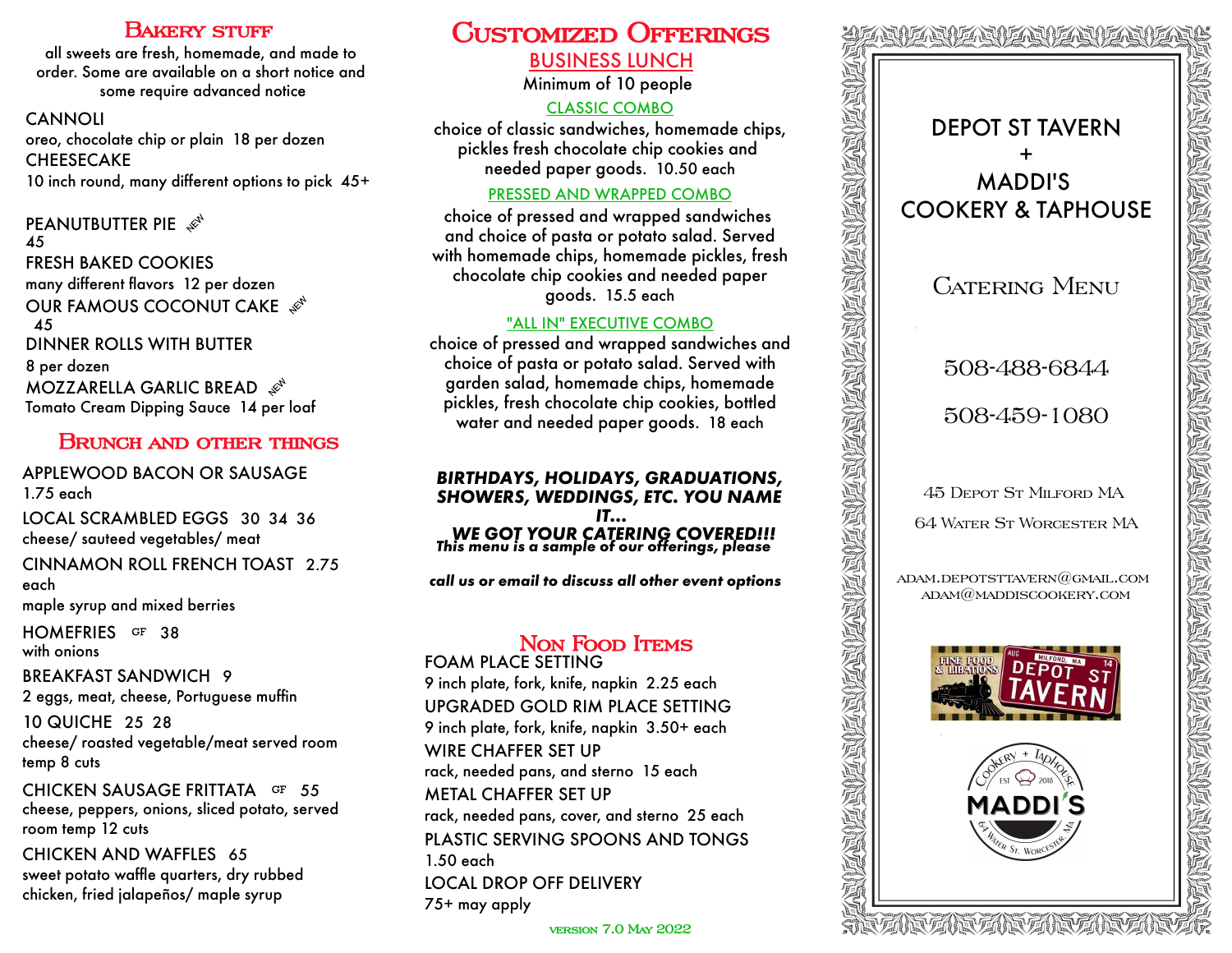### **BAKERY STUFF**

all sweets are fresh, homemade, and made to order. Some are available on a short notice and some require advanced notice

CANNOLI oreo, chocolate chip or plain 18 per dozen **CHEESECAKE** 10 inch round, many different options to pick 45+

#### **PEANUTBUTTER PIE** 45 FRESH BAKED COOKIES many different flavors 12 per dozen OUR FAMOUS COCONUT CAKE  $\mathcal{L}^{\mathcal{S}^k}$ 45 DINNER ROLLS WITH BUTTER 8 per dozen MOZZARELLA GARLIC BREAD Tomato Cream Dipping Sauce 14 per loaf

# **Brunch and other things**

APPLEWOOD BACON OR SAUSAGE 1.75 each

LOCAL SCRAMBLED EGGS 30 34 36 cheese/ sauteed vegetables/ meat

CINNAMON ROLL FRENCH TOAST 2.75 each

maple syrup and mixed berries

HOMEFRIES GF 38 with onions

BREAKFAST SANDWICH 9 2 eggs, meat, cheese, Portuguese muffin

10 QUICHE 25 28 cheese/ roasted vegetable/meat served room temp 8 cuts

CHICKEN SAUSAGE FRITTATA GF 55 cheese, peppers, onions, sliced potato, served room temp 12 cuts

CHICKEN AND WAFFLES 65 sweet potato waffle quarters, dry rubbed chicken, fried jalapeños/ maple syrup

# **Customized Offerings** BUSINESS LUNCH

Minimum of 10 people

# CLASSIC COMBO

choice of classic sandwiches, homemade chips, pickles fresh chocolate chip cookies and needed paper goods. 10.50 each

### PRESSED AND WRAPPED COMBO

choice of pressed and wrapped sandwiches and choice of pasta or potato salad. Served with homemade chips, homemade pickles, fresh chocolate chip cookies and needed paper goods. 15.5 each

### "ALL IN" EXECUTIVE COMBO

choice of pressed and wrapped sandwiches and choice of pasta or potato salad. Served with garden salad, homemade chips, homemade pickles, fresh chocolate chip cookies, bottled water and needed paper goods. 18 each

# *BIRTHDAYS, HOLIDAYS, GRADUATIONS, SHOWERS, WEDDINGS, ETC. YOU NAME IT... WE GOT YOUR CATERING COVERED!!! This menu is a sample of our offerings, please*

*call us or email to discuss all other event options*

# **Non Food Items**

FOAM PLACE SETTING 9 inch plate, fork, knife, napkin 2.25 each UPGRADED GOLD RIM PLACE SETTING 9 inch plate, fork, knife, napkin 3.50+ each WIRE CHAFFER SET UP rack, needed pans, and sterno 15 each METAL CHAFFER SET UP rack, needed pans, cover, and sterno 25 each PLASTIC SERVING SPOONS AND TONGS 1.50 each LOCAL DROP OFF DELIVERY 75+ may apply